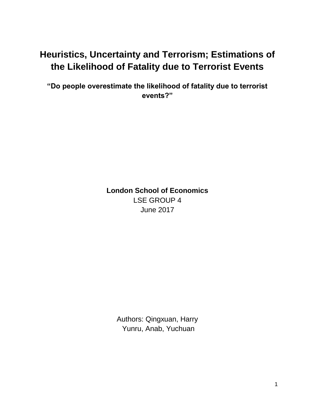# **Heuristics, Uncertainty and Terrorism; Estimations of the Likelihood of Fatality due to Terrorist Events**

**"Do people overestimate the likelihood of fatality due to terrorist events?"**

> **London School of Economics** LSE GROUP 4 June 2017

Authors: Qingxuan, Harry Yunru, Anab, Yuchuan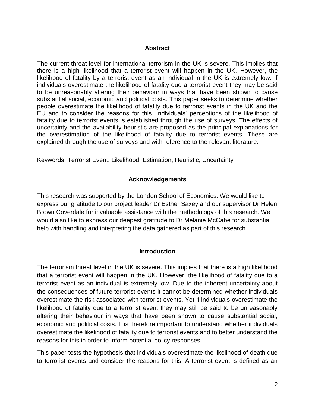#### **Abstract**

The current threat level for international terrorism in the UK is severe. This implies that there is a high likelihood that a terrorist event will happen in the UK. However, the likelihood of fatality by a terrorist event as an individual in the UK is extremely low. If individuals overestimate the likelihood of fatality due a terrorist event they may be said to be unreasonably altering their behaviour in ways that have been shown to cause substantial social, economic and political costs. This paper seeks to determine whether people overestimate the likelihood of fatality due to terrorist events in the UK and the EU and to consider the reasons for this. Individuals' perceptions of the likelihood of fatality due to terrorist events is established through the use of surveys. The effects of uncertainty and the availability heuristic are proposed as the principal explanations for the overestimation of the likelihood of fatality due to terrorist events. These are explained through the use of surveys and with reference to the relevant literature.

Keywords: Terrorist Event, Likelihood, Estimation, Heuristic, Uncertainty

#### **Acknowledgements**

This research was supported by the London School of Economics. We would like to express our gratitude to our project leader Dr Esther Saxey and our supervisor Dr Helen Brown Coverdale for invaluable assistance with the methodology of this research. We would also like to express our deepest gratitude to Dr Melanie McCabe for substantial help with handling and interpreting the data gathered as part of this research.

#### **Introduction**

The terrorism threat level in the UK is severe. This implies that there is a high likelihood that a terrorist event will happen in the UK. However, the likelihood of fatality due to a terrorist event as an individual is extremely low. Due to the inherent uncertainty about the consequences of future terrorist events it cannot be determined whether individuals overestimate the risk associated with terrorist events. Yet if individuals overestimate the likelihood of fatality due to a terrorist event they may still be said to be unreasonably altering their behaviour in ways that have been shown to cause substantial social, economic and political costs. It is therefore important to understand whether individuals overestimate the likelihood of fatality due to terrorist events and to better understand the reasons for this in order to inform potential policy responses.

This paper tests the hypothesis that individuals overestimate the likelihood of death due to terrorist events and consider the reasons for this. A terrorist event is defined as an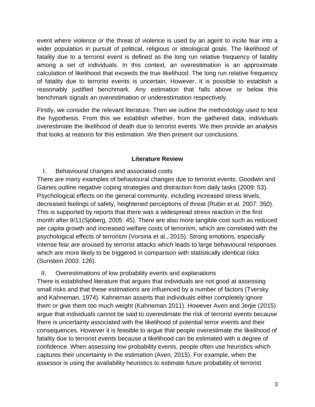event where violence or the threat of violence is used by an agent to incite fear into a wider population in pursuit of political, religious or ideological goals. The likelihood of fatality due to a terrorist event is defined as the long run relative frequency of fatality among a set of individuals. In this context, an overestimation is an approximate calculation of likelihood that exceeds the true likelihood. The long run relative frequency of fatality due to terrorist events is uncertain. However, it is possible to establish a reasonably justified benchmark. Any estimation that falls above or below this benchmark signals an overestimation or underestimation respectively.

Firstly, we consider the relevant literature. Then we outline the methodology used to test the hypothesis. From this we establish whether, from the gathered data, individuals overestimate the likelihood of death due to terrorist events. We then provide an analysis that looks at reasons for this estimation. We then present our conclusions.

### **Literature Review**

# I. Behavioural changes and associated costs

There are many examples of behavioural changes due to terrorist events. Goodwin and Gaines outline negative coping strategies and distraction from daily tasks (2009: 53). Psychological effects on the general community, including increased stress levels, decreased feelings of safety, heightened perceptions of threat (Rubin et al, 2007: 350). This is supported by reports that there was a widespread stress reaction in the first month after 9/11(Sjöberg, 2005: 45). There are also more tangible cost such as reduced per capita growth and increased welfare costs of terrorism, which are correlated with the psychological effects of terrorism (Vorsina et al., 2015). Strong emotions, especially intense fear are aroused by terrorist attacks which leads to large behavioural responses which are more likely to be triggered in comparison with statistically identical risks (Sunstein 2003: 126).

### II. Overestimations of low probability events and explanations

There is established literature that argues that individuals are not good at assessing small risks and that these estimations are influenced by a number of factors (Tversky and Kahneman, 1974). Kahneman asserts that individuals either completely ignore them or give them too much weight (Kahneman 2011). However Aven and Jerjie (2015) argue that individuals cannot be said to overestimate the risk of terrorist events because there is uncertainty associated with the likelihood of potential terror events and their consequences. However it is feasible to argue that people overestimate the likelihood of fatality due to terrorist events because a likelihood can be estimated with a degree of confidence. When assessing low probability events, people often use heuristics which captures their uncertainty in the estimation (Aven, 2015). For example, when the assessor is using the availability heuristics to estimate future probability of terrorist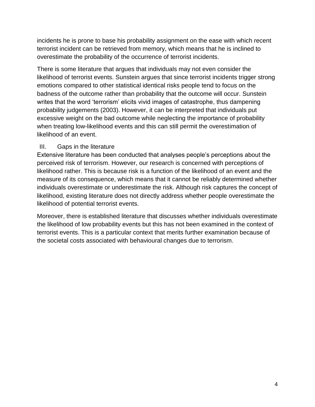incidents he is prone to base his probability assignment on the ease with which recent terrorist incident can be retrieved from memory, which means that he is inclined to overestimate the probability of the occurrence of terrorist incidents.

There is some literature that argues that individuals may not even consider the likelihood of terrorist events. Sunstein argues that since terrorist incidents trigger strong emotions compared to other statistical identical risks people tend to focus on the badness of the outcome rather than probability that the outcome will occur. Sunstein writes that the word 'terrorism' elicits vivid images of catastrophe, thus dampening probability judgements (2003). However, it can be interpreted that individuals put excessive weight on the bad outcome while neglecting the importance of probability when treating low-likelihood events and this can still permit the overestimation of likelihood of an event.

### III. Gaps in the literature

Extensive literature has been conducted that analyses people's perceptions about the perceived risk of terrorism. However, our research is concerned with perceptions of likelihood rather. This is because risk is a function of the likelihood of an event and the measure of its consequence, which means that it cannot be reliably determined whether individuals overestimate or underestimate the risk. Although risk captures the concept of likelihood, existing literature does not directly address whether people overestimate the likelihood of potential terrorist events.

Moreover, there is established literature that discusses whether individuals overestimate the likelihood of low probability events but this has not been examined in the context of terrorist events. This is a particular context that merits further examination because of the societal costs associated with behavioural changes due to terrorism.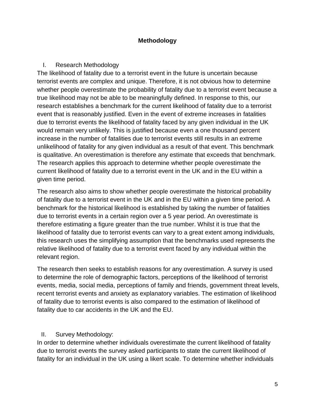### **Methodology**

# I. Research Methodology

The likelihood of fatality due to a terrorist event in the future is uncertain because terrorist events are complex and unique. Therefore, it is not obvious how to determine whether people overestimate the probability of fatality due to a terrorist event because a true likelihood may not be able to be meaningfully defined. In response to this, our research establishes a benchmark for the current likelihood of fatality due to a terrorist event that is reasonably justified. Even in the event of extreme increases in fatalities due to terrorist events the likelihood of fatality faced by any given individual in the UK would remain very unlikely. This is justified because even a one thousand percent increase in the number of fatalities due to terrorist events still results in an extreme unlikelihood of fatality for any given individual as a result of that event. This benchmark is qualitative. An overestimation is therefore any estimate that exceeds that benchmark. The research applies this approach to determine whether people overestimate the current likelihood of fatality due to a terrorist event in the UK and in the EU within a given time period.

The research also aims to show whether people overestimate the historical probability of fatality due to a terrorist event in the UK and in the EU within a given time period. A benchmark for the historical likelihood is established by taking the number of fatalities due to terrorist events in a certain region over a 5 year period. An overestimate is therefore estimating a figure greater than the true number. Whilst it is true that the likelihood of fatality due to terrorist events can vary to a great extent among individuals, this research uses the simplifying assumption that the benchmarks used represents the relative likelihood of fatality due to a terrorist event faced by any individual within the relevant region.

The research then seeks to establish reasons for any overestimation. A survey is used to determine the role of demographic factors, perceptions of the likelihood of terrorist events, media, social media, perceptions of family and friends, government threat levels, recent terrorist events and anxiety as explanatory variables. The estimation of likelihood of fatality due to terrorist events is also compared to the estimation of likelihood of fatality due to car accidents in the UK and the EU.

# II. Survey Methodology:

In order to determine whether individuals overestimate the current likelihood of fatality due to terrorist events the survey asked participants to state the current likelihood of fatality for an individual in the UK using a likert scale. To determine whether individuals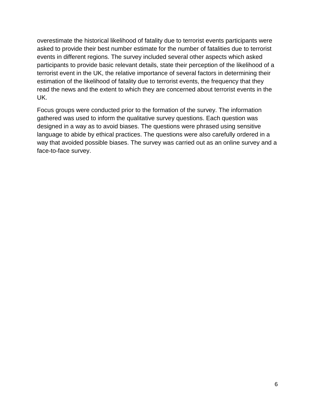overestimate the historical likelihood of fatality due to terrorist events participants were asked to provide their best number estimate for the number of fatalities due to terrorist events in different regions. The survey included several other aspects which asked participants to provide basic relevant details, state their perception of the likelihood of a terrorist event in the UK, the relative importance of several factors in determining their estimation of the likelihood of fatality due to terrorist events, the frequency that they read the news and the extent to which they are concerned about terrorist events in the UK.

Focus groups were conducted prior to the formation of the survey. The information gathered was used to inform the qualitative survey questions. Each question was designed in a way as to avoid biases. The questions were phrased using sensitive language to abide by ethical practices. The questions were also carefully ordered in a way that avoided possible biases. The survey was carried out as an online survey and a face-to-face survey.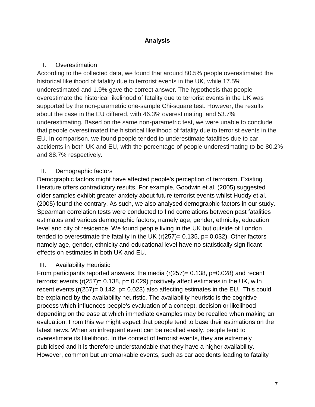# **Analysis**

# I. Overestimation

According to the collected data, we found that around 80.5% people overestimated the historical likelihood of fatality due to terrorist events in the UK, while 17.5% underestimated and 1.9% gave the correct answer. The hypothesis that people overestimate the historical likelihood of fatality due to terrorist events in the UK was supported by the non-parametric one-sample Chi-square test. However, the results about the case in the EU differed, with 46.3% overestimating and 53.7% underestimating. Based on the same non-parametric test, we were unable to conclude that people overestimated the historical likelihood of fatality due to terrorist events in the EU. In comparison, we found people tended to underestimate fatalities due to car accidents in both UK and EU, with the percentage of people underestimating to be 80.2% and 88.7% respectively.

# II. Demographic factors

Demographic factors might have affected people's perception of terrorism. Existing literature offers contradictory results. For example, Goodwin et al. (2005) suggested older samples exhibit greater anxiety about future terrorist events whilst Huddy et al. (2005) found the contrary. As such, we also analysed demographic factors in our study. Spearman correlation tests were conducted to find correlations between past fatalities estimates and various demographic factors, namely age, gender, ethnicity, education level and city of residence. We found people living in the UK but outside of London tended to overestimate the fatality in the UK  $(r(257)=0.135, p=0.032)$ . Other factors namely age, gender, ethnicity and educational level have no statistically significant effects on estimates in both UK and EU.

### III. Availability Heuristic

From participants reported answers, the media  $(r(257)= 0.138, p=0.028)$  and recent terrorist events ( $r(257)$ = 0.138,  $p= 0.029$ ) positively affect estimates in the UK, with recent events  $(r(257)= 0.142, p= 0.023)$  also affecting estimates in the EU. This could be explained by the availability heuristic. The availability heuristic is the cognitive process which influences people's evaluation of a concept, decision or likelihood depending on the ease at which immediate examples may be recalled when making an evaluation. From this we might expect that people tend to base their estimations on the latest news. When an infrequent event can be recalled easily, people tend to overestimate its likelihood. In the context of terrorist events, they are extremely publicised and it is therefore understandable that they have a higher availability. However, common but unremarkable events, such as car accidents leading to fatality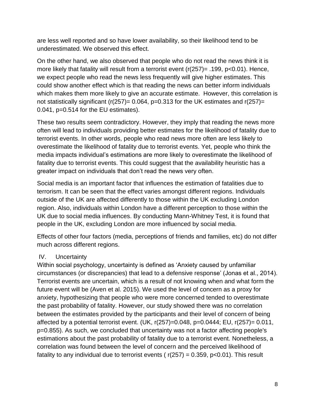are less well reported and so have lower availability, so their likelihood tend to be underestimated. We observed this effect.

On the other hand, we also observed that people who do not read the news think it is more likely that fatality will result from a terrorist event (r(257)= .199, p<0.01). Hence, we expect people who read the news less frequently will give higher estimates. This could show another effect which is that reading the news can better inform individuals which makes them more likely to give an accurate estimate. However, this correlation is not statistically significant ( $r(257)= 0.064$ ,  $p=0.313$  for the UK estimates and  $r(257)=$ 0.041, p=0.514 for the EU estimates).

These two results seem contradictory. However, they imply that reading the news more often will lead to individuals providing better estimates for the likelihood of fatality due to terrorist events. In other words, people who read news more often are less likely to overestimate the likelihood of fatality due to terrorist events. Yet, people who think the media impacts individual's estimations are more likely to overestimate the likelihood of fatality due to terrorist events. This could suggest that the availability heuristic has a greater impact on individuals that don't read the news very often.

Social media is an important factor that influences the estimation of fatalities due to terrorism. It can be seen that the effect varies amongst different regions. Individuals outside of the UK are affected differently to those within the UK excluding London region. Also, individuals within London have a different perception to those within the UK due to social media influences. By conducting Mann-Whitney Test, it is found that people in the UK, excluding London are more influenced by social media.

Effects of other four factors (media, perceptions of friends and families, etc) do not differ much across different regions.

# IV. Uncertainty

Within social psychology, uncertainty is defined as 'Anxiety caused by unfamiliar circumstances (or discrepancies) that lead to a defensive response' (Jonas et al., 2014). Terrorist events are uncertain, which is a result of not knowing when and what form the future event will be (Aven et al. 2015). We used the level of concern as a proxy for anxiety, hypothesizing that people who were more concerned tended to overestimate the past probability of fatality. However, our study showed there was no correlation between the estimates provided by the participants and their level of concern of being affected by a potential terrorist event. (UK, r(257)=0.048, p=0.0444; EU, r(257)= 0.011, p=0.855). As such, we concluded that uncertainty was not a factor affecting people's estimations about the past probability of fatality due to a terrorist event. Nonetheless, a correlation was found between the level of concern and the perceived likelihood of fatality to any individual due to terrorist events ( $r(257) = 0.359$ ,  $p < 0.01$ ). This result